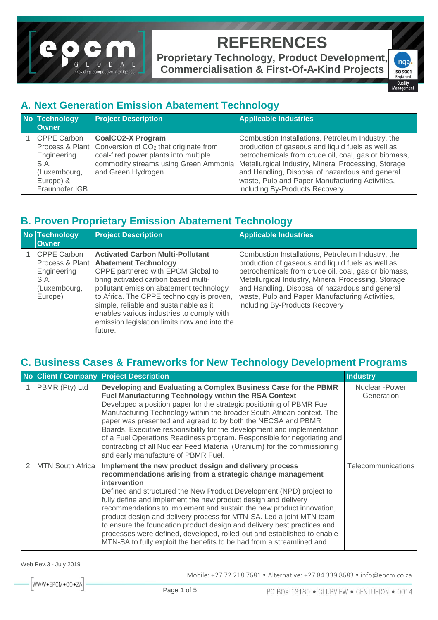

**Proprietary Technology, Product Development, Commercialisation & First-Of-A-Kind Projects**

nga ISO 9001<br>Registered Quality

#### **A. Next Generation Emission Abatement Technology**

| <b>No Technology</b><br><b>Owner</b>                                                     | <b>Project Description</b>                                                                                                                                      | <b>Applicable Industries</b>                                                                                                                                                                                                                                                                                                                                                                          |
|------------------------------------------------------------------------------------------|-----------------------------------------------------------------------------------------------------------------------------------------------------------------|-------------------------------------------------------------------------------------------------------------------------------------------------------------------------------------------------------------------------------------------------------------------------------------------------------------------------------------------------------------------------------------------------------|
| <b>CPPE Carbon</b><br>Engineering<br>S.A.<br>(Luxembourg,<br>Europe) &<br>Fraunhofer IGB | <b>CoalCO2-X Program</b><br>Process & Plant   Conversion of CO <sub>2</sub> that originate from<br>coal-fired power plants into multiple<br>and Green Hydrogen. | Combustion Installations, Petroleum Industry, the<br>production of gaseous and liquid fuels as well as<br>petrochemicals from crude oil, coal, gas or biomass,<br>commodity streams using Green Ammonia   Metallurgical Industry, Mineral Processing, Storage<br>and Handling, Disposal of hazardous and general<br>waste, Pulp and Paper Manufacturing Activities,<br>including By-Products Recovery |

#### **B. Proven Proprietary Emission Abatement Technology**

| <b>No Technology</b><br><b>Owner</b>                                 | <b>Project Description</b>                                                                                                                                                                                                                                                                                                                                                                               | <b>Applicable Industries</b>                                                                                                                                                                                                                                                                                                                                  |
|----------------------------------------------------------------------|----------------------------------------------------------------------------------------------------------------------------------------------------------------------------------------------------------------------------------------------------------------------------------------------------------------------------------------------------------------------------------------------------------|---------------------------------------------------------------------------------------------------------------------------------------------------------------------------------------------------------------------------------------------------------------------------------------------------------------------------------------------------------------|
| <b>CPPE Carbon</b><br>Engineering<br>S.A.<br>(Luxembourg,<br>Europe) | <b>Activated Carbon Multi-Pollutant</b><br>Process & Plant   Abatement Technology<br>CPPE partnered with EPCM Global to<br>bring activated carbon based multi-<br>pollutant emission abatement technology<br>to Africa. The CPPE technology is proven,<br>simple, reliable and sustainable as it<br>enables various industries to comply with<br>emission legislation limits now and into the<br>future. | Combustion Installations, Petroleum Industry, the<br>production of gaseous and liquid fuels as well as<br>petrochemicals from crude oil, coal, gas or biomass,<br>Metallurgical Industry, Mineral Processing, Storage<br>and Handling, Disposal of hazardous and general<br>waste, Pulp and Paper Manufacturing Activities,<br>including By-Products Recovery |

#### **C. Business Cases & Frameworks for New Technology Development Programs**

|   |                    | No Client / Company Project Description                                                                                                                                                                                                                                                                                                                                                                                                                                                                                                                                                                                                                     | <b>Industry</b>               |
|---|--------------------|-------------------------------------------------------------------------------------------------------------------------------------------------------------------------------------------------------------------------------------------------------------------------------------------------------------------------------------------------------------------------------------------------------------------------------------------------------------------------------------------------------------------------------------------------------------------------------------------------------------------------------------------------------------|-------------------------------|
|   | PBMR (Pty) Ltd     | Developing and Evaluating a Complex Business Case for the PBMR<br>Fuel Manufacturing Technology within the RSA Context<br>Developed a position paper for the strategic positioning of PBMR Fuel<br>Manufacturing Technology within the broader South African context. The<br>paper was presented and agreed to by both the NECSA and PBMR<br>Boards. Executive responsibility for the development and implementation<br>of a Fuel Operations Readiness program. Responsible for negotiating and<br>contracting of all Nuclear Feed Material (Uranium) for the commissioning<br>and early manufacture of PBMR Fuel.                                          | Nuclear - Power<br>Generation |
| 2 | I MTN South Africa | Implement the new product design and delivery process<br>recommendations arising from a strategic change management<br>intervention<br>Defined and structured the New Product Development (NPD) project to<br>fully define and implement the new product design and delivery<br>recommendations to implement and sustain the new product innovation,<br>product design and delivery process for MTN-SA. Led a joint MTN team<br>to ensure the foundation product design and delivery best practices and<br>processes were defined, developed, rolled-out and established to enable<br>MTN-SA to fully exploit the benefits to be had from a streamlined and | Telecommunications            |

Web Rev.3 - July 2019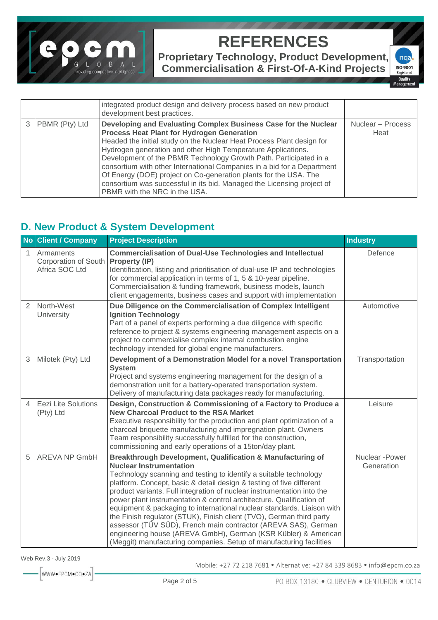

**Proprietary Technology, Product Development, Commercialisation & First-Of-A-Kind Projects**

nqa **ISO 9001** Registere Quality

Manao

integrated product design and delivery process based on new product development best practices. 3 PBMR (Pty) Ltd **Developing and Evaluating Complex Business Case for the Nuclear Process Heat Plant for Hydrogen Generation** Headed the initial study on the Nuclear Heat Process Plant design for Hydrogen generation and other High Temperature Applications. Development of the PBMR Technology Growth Path. Participated in a consortium with other International Companies in a bid for a Department Of Energy (DOE) project on Co-generation plants for the USA. The consortium was successful in its bid. Managed the Licensing project of PBMR with the NRC in the USA. Nuclear – Process **Heat** 

#### **D. New Product & System Development**

|                | No Client / Company                                        | <b>Project Description</b>                                                                                                                                                                                                                                                                                                                                                                                                                                                                                                                                                                                                                                                                                                                               | <b>Industry</b>               |
|----------------|------------------------------------------------------------|----------------------------------------------------------------------------------------------------------------------------------------------------------------------------------------------------------------------------------------------------------------------------------------------------------------------------------------------------------------------------------------------------------------------------------------------------------------------------------------------------------------------------------------------------------------------------------------------------------------------------------------------------------------------------------------------------------------------------------------------------------|-------------------------------|
| 1              | Armaments<br><b>Corporation of South</b><br>Africa SOC Ltd | <b>Commercialisation of Dual-Use Technologies and Intellectual</b><br>Property (IP)<br>Identification, listing and prioritisation of dual-use IP and technologies<br>for commercial application in terms of 1, 5 & 10-year pipeline.<br>Commercialisation & funding framework, business models, launch<br>client engagements, business cases and support with implementation                                                                                                                                                                                                                                                                                                                                                                             | Defence                       |
| $\overline{2}$ | North-West<br>University                                   | Due Diligence on the Commercialisation of Complex Intelligent<br><b>Ignition Technology</b><br>Part of a panel of experts performing a due diligence with specific<br>reference to project & systems engineering management aspects on a<br>project to commercialise complex internal combustion engine<br>technology intended for global engine manufacturers.                                                                                                                                                                                                                                                                                                                                                                                          | Automotive                    |
| 3              | Milotek (Pty) Ltd                                          | Development of a Demonstration Model for a novel Transportation<br><b>System</b><br>Project and systems engineering management for the design of a<br>demonstration unit for a battery-operated transportation system.<br>Delivery of manufacturing data packages ready for manufacturing.                                                                                                                                                                                                                                                                                                                                                                                                                                                               | Transportation                |
| 4              | <b>Eezi Lite Solutions</b><br>(Pty) Ltd                    | Design, Construction & Commissioning of a Factory to Produce a<br><b>New Charcoal Product to the RSA Market</b><br>Executive responsibility for the production and plant optimization of a<br>charcoal briquette manufacturing and impregnation plant. Owners<br>Team responsibility successfully fulfilled for the construction,<br>commissioning and early operations of a 15ton/day plant.                                                                                                                                                                                                                                                                                                                                                            | Leisure                       |
| 5              | <b>AREVA NP GmbH</b>                                       | Breakthrough Development, Qualification & Manufacturing of<br><b>Nuclear Instrumentation</b><br>Technology scanning and testing to identify a suitable technology<br>platform. Concept, basic & detail design & testing of five different<br>product variants. Full integration of nuclear instrumentation into the<br>power plant instrumentation & control architecture. Qualification of<br>equipment & packaging to international nuclear standards. Liaison with<br>the Finish regulator (STUK), Finish client (TVO), German third party<br>assessor (TÜV SÜD), French main contractor (AREVA SAS), German<br>engineering house (AREVA GmbH), German (KSR Kübler) & American<br>(Meggit) manufacturing companies. Setup of manufacturing facilities | Nuclear - Power<br>Generation |

Web Rev.3 - July 2019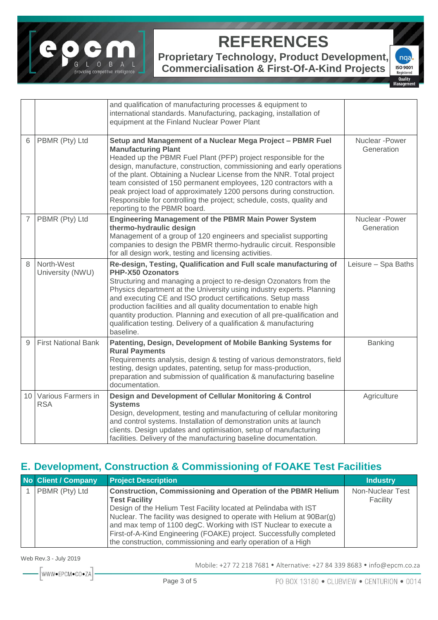

**Proprietary Technology, Product Development, Commercialisation & First-Of-A-Kind Projects**



|                |                                  | and qualification of manufacturing processes & equipment to<br>international standards. Manufacturing, packaging, installation of<br>equipment at the Finland Nuclear Power Plant                                                                                                                                                                                                                                                                                                                                                                                   |                               |
|----------------|----------------------------------|---------------------------------------------------------------------------------------------------------------------------------------------------------------------------------------------------------------------------------------------------------------------------------------------------------------------------------------------------------------------------------------------------------------------------------------------------------------------------------------------------------------------------------------------------------------------|-------------------------------|
| 6              | PBMR (Pty) Ltd                   | Setup and Management of a Nuclear Mega Project - PBMR Fuel<br><b>Manufacturing Plant</b><br>Headed up the PBMR Fuel Plant (PFP) project responsible for the<br>design, manufacture, construction, commissioning and early operations<br>of the plant. Obtaining a Nuclear License from the NNR. Total project<br>team consisted of 150 permanent employees, 120 contractors with a<br>peak project load of approximately 1200 persons during construction.<br>Responsible for controlling the project; schedule, costs, quality and<br>reporting to the PBMR board. | Nuclear - Power<br>Generation |
| $\overline{7}$ | PBMR (Pty) Ltd                   | <b>Engineering Management of the PBMR Main Power System</b><br>thermo-hydraulic design<br>Management of a group of 120 engineers and specialist supporting<br>companies to design the PBMR thermo-hydraulic circuit. Responsible<br>for all design work, testing and licensing activities.                                                                                                                                                                                                                                                                          | Nuclear - Power<br>Generation |
| 8              | North-West<br>University (NWU)   | Re-design, Testing, Qualification and Full scale manufacturing of<br>PHP-X50 Ozonators<br>Structuring and managing a project to re-design Ozonators from the<br>Physics department at the University using industry experts. Planning<br>and executing CE and ISO product certifications. Setup mass<br>production facilities and all quality documentation to enable high<br>quantity production. Planning and execution of all pre-qualification and<br>qualification testing. Delivery of a qualification & manufacturing<br>baseline.                           | Leisure - Spa Baths           |
| 9              | <b>First National Bank</b>       | Patenting, Design, Development of Mobile Banking Systems for<br><b>Rural Payments</b><br>Requirements analysis, design & testing of various demonstrators, field<br>testing, design updates, patenting, setup for mass-production,<br>preparation and submission of qualification & manufacturing baseline<br>documentation.                                                                                                                                                                                                                                        | Banking                       |
| 10             | Various Farmers in<br><b>RSA</b> | Design and Development of Cellular Monitoring & Control<br><b>Systems</b><br>Design, development, testing and manufacturing of cellular monitoring<br>and control systems. Installation of demonstration units at launch<br>clients. Design updates and optimisation, setup of manufacturing<br>facilities. Delivery of the manufacturing baseline documentation.                                                                                                                                                                                                   | Agriculture                   |

### **E. Development, Construction & Commissioning of FOAKE Test Facilities**

| No Client / Company | <b>Project Description</b>                                                                                                                                                                                                                                                                                                                                                                                                                           | <b>Industry</b>              |
|---------------------|------------------------------------------------------------------------------------------------------------------------------------------------------------------------------------------------------------------------------------------------------------------------------------------------------------------------------------------------------------------------------------------------------------------------------------------------------|------------------------------|
| PBMR (Pty) Ltd      | <b>Construction, Commissioning and Operation of the PBMR Helium</b><br><b>Test Facility</b><br>Design of the Helium Test Facility located at Pelindaba with IST<br>Nuclear. The facility was designed to operate with Helium at 90Bar(g)<br>and max temp of 1100 degC. Working with IST Nuclear to execute a<br>First-of-A-Kind Engineering (FOAKE) project. Successfully completed<br>the construction, commissioning and early operation of a High | Non-Nuclear Test<br>Facility |

Web Rev.3 - July 2019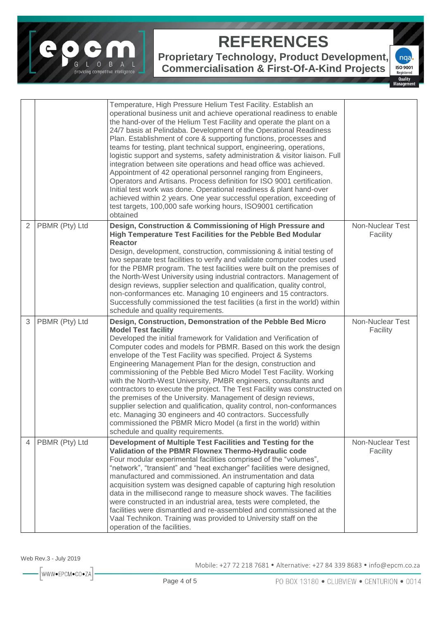

**Proprietary Technology, Product Development,** 

**Commercialisation & First-Of-A-Kind Projects**



|                |                | Temperature, High Pressure Helium Test Facility. Establish an<br>operational business unit and achieve operational readiness to enable<br>the hand-over of the Helium Test Facility and operate the plant on a<br>24/7 basis at Pelindaba. Development of the Operational Readiness<br>Plan. Establishment of core & supporting functions, processes and<br>teams for testing, plant technical support, engineering, operations,<br>logistic support and systems, safety administration & visitor liaison. Full<br>integration between site operations and head office was achieved.<br>Appointment of 42 operational personnel ranging from Engineers,<br>Operators and Artisans. Process definition for ISO 9001 certification.<br>Initial test work was done. Operational readiness & plant hand-over<br>achieved within 2 years. One year successful operation, exceeding of<br>test targets, 100,000 safe working hours, ISO9001 certification<br>obtained |                              |
|----------------|----------------|-----------------------------------------------------------------------------------------------------------------------------------------------------------------------------------------------------------------------------------------------------------------------------------------------------------------------------------------------------------------------------------------------------------------------------------------------------------------------------------------------------------------------------------------------------------------------------------------------------------------------------------------------------------------------------------------------------------------------------------------------------------------------------------------------------------------------------------------------------------------------------------------------------------------------------------------------------------------|------------------------------|
| $\overline{2}$ | PBMR (Pty) Ltd | Design, Construction & Commissioning of High Pressure and<br>High Temperature Test Facilities for the Pebble Bed Modular<br><b>Reactor</b><br>Design, development, construction, commissioning & initial testing of<br>two separate test facilities to verify and validate computer codes used<br>for the PBMR program. The test facilities were built on the premises of<br>the North-West University using industrial contractors. Management of<br>design reviews, supplier selection and qualification, quality control,<br>non-conformances etc. Managing 10 engineers and 15 contractors.<br>Successfully commissioned the test facilities (a first in the world) within<br>schedule and quality requirements.                                                                                                                                                                                                                                            | Non-Nuclear Test<br>Facility |
| 3              | PBMR (Pty) Ltd | Design, Construction, Demonstration of the Pebble Bed Micro<br><b>Model Test facility</b><br>Developed the initial framework for Validation and Verification of<br>Computer codes and models for PBMR. Based on this work the design<br>envelope of the Test Facility was specified. Project & Systems<br>Engineering Management Plan for the design, construction and<br>commissioning of the Pebble Bed Micro Model Test Facility. Working<br>with the North-West University, PMBR engineers, consultants and<br>contractors to execute the project. The Test Facility was constructed on<br>the premises of the University. Management of design reviews,<br>supplier selection and qualification, quality control, non-conformances<br>etc. Managing 30 engineers and 40 contractors. Successfully<br>commissioned the PBMR Micro Model (a first in the world) within<br>schedule and quality requirements.                                                 | Non-Nuclear Test<br>Facility |
| 4              | PBMR (Pty) Ltd | Development of Multiple Test Facilities and Testing for the<br>Validation of the PBMR Flownex Thermo-Hydraulic code<br>Four modular experimental facilities comprised of the "volumes",<br>"network", "transient" and "heat exchanger" facilities were designed,<br>manufactured and commissioned. An instrumentation and data<br>acquisition system was designed capable of capturing high resolution<br>data in the millisecond range to measure shock waves. The facilities<br>were constructed in an industrial area, tests were completed, the<br>facilities were dismantled and re-assembled and commissioned at the<br>Vaal Technikon. Training was provided to University staff on the<br>operation of the facilities.                                                                                                                                                                                                                                  | Non-Nuclear Test<br>Facility |